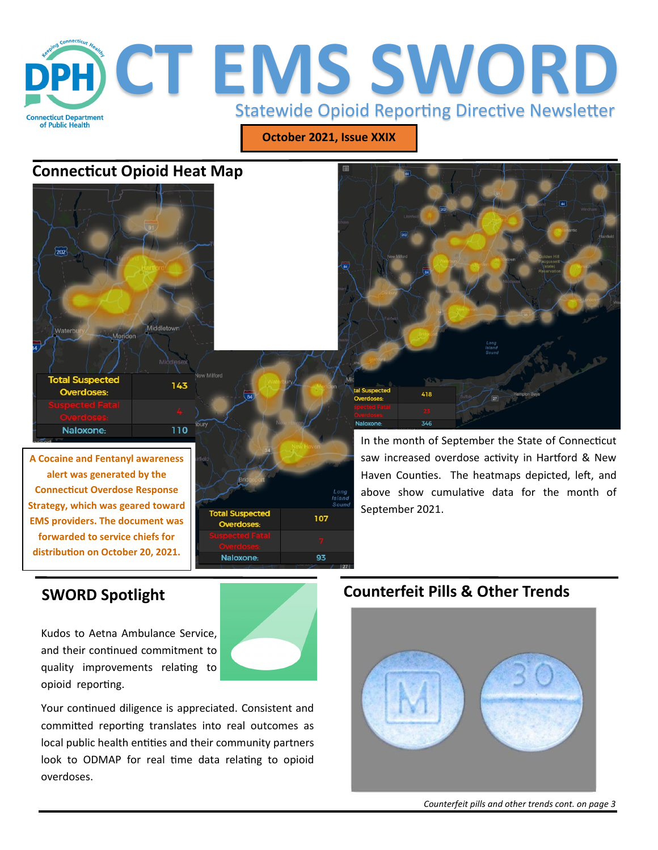

**October 2021, Issue XXIX**

# **Connecticut Opioid Heat Map**



**alert was generated by the Connecticut Overdose Response Strategy, which was geared toward EMS providers. The document was forwarded to service chiefs for distribution on October 20, 2021.**



In the month of September the State of Connecticut saw increased overdose activity in Hartford & New Haven Counties. The heatmaps depicted, left, and above show cumulative data for the month of September 2021.

# **SWORD Spotlight**

Kudos to Aetna Ambulance Service, and their continued commitment to quality improvements relating to opioid reporting.

Your continued diligence is appreciated. Consistent and committed reporting translates into real outcomes as local public health entities and their community partners look to ODMAP for real time data relating to opioid overdoses.

# **Counterfeit Pills & Other Trends**

418

346

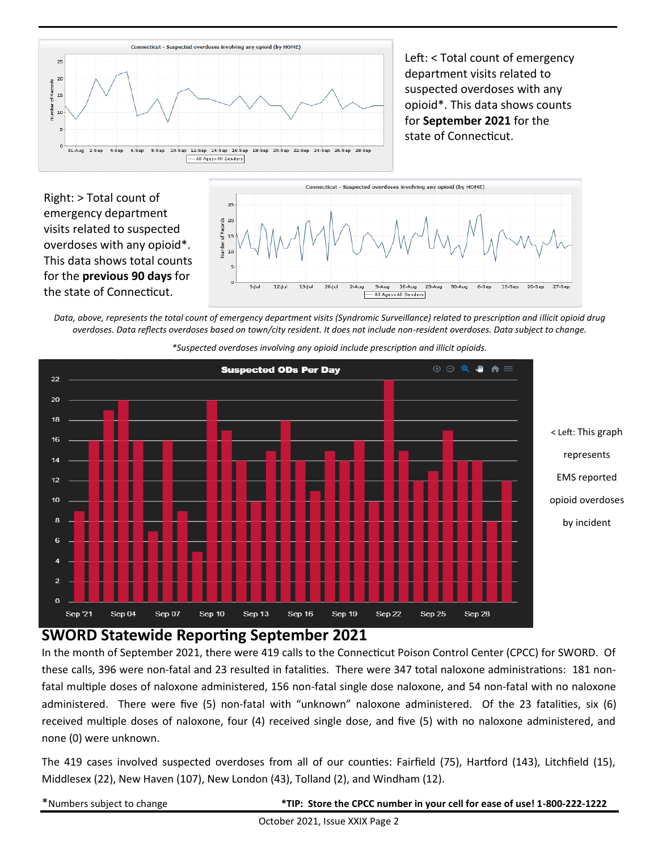

Left: < Total count of emergency department visits related to suspected overdoses with any opioid\*. This data shows counts for **September 2021** for the state of Connecticut.

Right: > Total count of emergency department visits related to suspected overdoses with any opioid\*. This data shows total counts for the **previous 90 days** for the state of Connecticut.



*Data, above, represents the total count of emergency department visits (Syndromic Surveillance) related to prescription and illicit opioid drug overdoses. Data reflects overdoses based on town/city resident. It does not include non-resident overdoses. Data subject to change.* 



*\*Suspected overdoses involving any opioid include prescription and illicit opioids.*

#### **SWORD Statewide Reporting September 2021**

In the month of September 2021, there were 419 calls to the Connecticut Poison Control Center (CPCC) for SWORD. Of these calls, 396 were non-fatal and 23 resulted in fatalities. There were 347 total naloxone administrations: 181 nonfatal multiple doses of naloxone administered, 156 non-fatal single dose naloxone, and 54 non-fatal with no naloxone administered. There were five (5) non-fatal with "unknown" naloxone administered. Of the 23 fatalities, six (6) received multiple doses of naloxone, four (4) received single dose, and five (5) with no naloxone administered, and none (0) were unknown.

The 419 cases involved suspected overdoses from all of our counties: Fairfield (75), Hartford (143), Litchfield (15), Middlesex (22), New Haven (107), New London (43), Tolland (2), and Windham (12).

| *Numbers subject to change |  |  |
|----------------------------|--|--|
|----------------------------|--|--|

\*Numbers subject to change **\*TIP: Store the CPCC number in your cell for ease of use! 1-800-222-1222**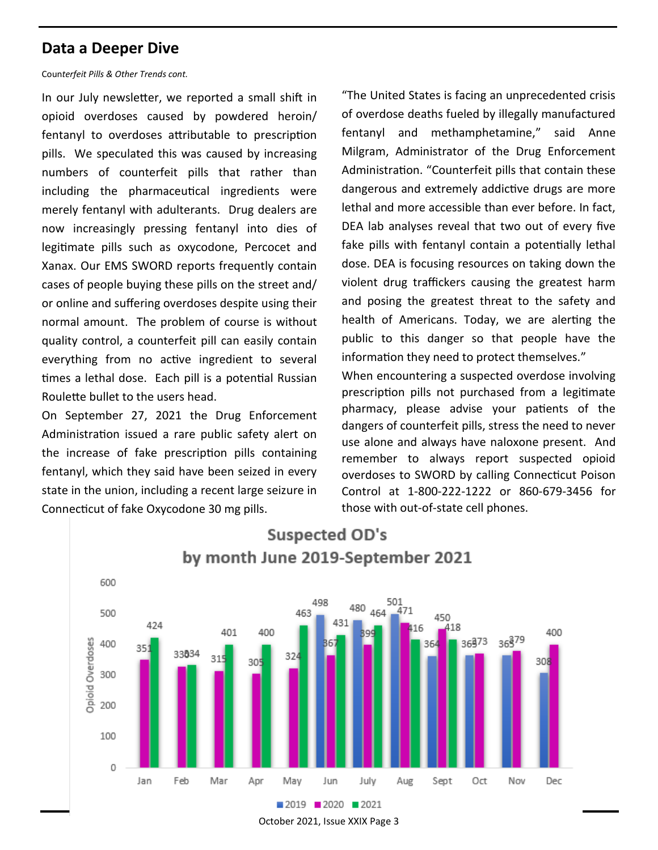# **Data a Deeper Dive**

#### Coun*terfeit Pills & Other Trends cont.*

In our July newsletter, we reported a small shift in opioid overdoses caused by powdered heroin/ fentanyl to overdoses attributable to prescription pills. We speculated this was caused by increasing numbers of counterfeit pills that rather than including the pharmaceutical ingredients were merely fentanyl with adulterants. Drug dealers are now increasingly pressing fentanyl into dies of legitimate pills such as oxycodone, Percocet and Xanax. Our EMS SWORD reports frequently contain cases of people buying these pills on the street and/ or online and suffering overdoses despite using their normal amount. The problem of course is without quality control, a counterfeit pill can easily contain everything from no active ingredient to several times a lethal dose. Each pill is a potential Russian Roulette bullet to the users head.

On September 27, 2021 the Drug Enforcement Administration issued a rare public safety alert on the increase of fake prescription pills containing fentanyl, which they said have been seized in every state in the union, including a recent large seizure in Connecticut of fake Oxycodone 30 mg pills.

"The United States is facing an unprecedented crisis of overdose deaths fueled by illegally manufactured fentanyl and methamphetamine," said Anne Milgram, Administrator of the Drug Enforcement Administration. "Counterfeit pills that contain these dangerous and extremely addictive drugs are more lethal and more accessible than ever before. In fact, DEA lab analyses reveal that two out of every five fake pills with fentanyl contain a potentially lethal dose. DEA is focusing resources on taking down the violent drug traffickers causing the greatest harm and posing the greatest threat to the safety and health of Americans. Today, we are alerting the public to this danger so that people have the information they need to protect themselves."

When encountering a suspected overdose involving prescription pills not purchased from a legitimate pharmacy, please advise your patients of the dangers of counterfeit pills, stress the need to never use alone and always have naloxone present. And remember to always report suspected opioid overdoses to SWORD by calling Connecticut Poison Control at 1-800-222-1222 or 860-679-3456 for those with out-of-state cell phones.



October 2021, Issue XXIX Page 3